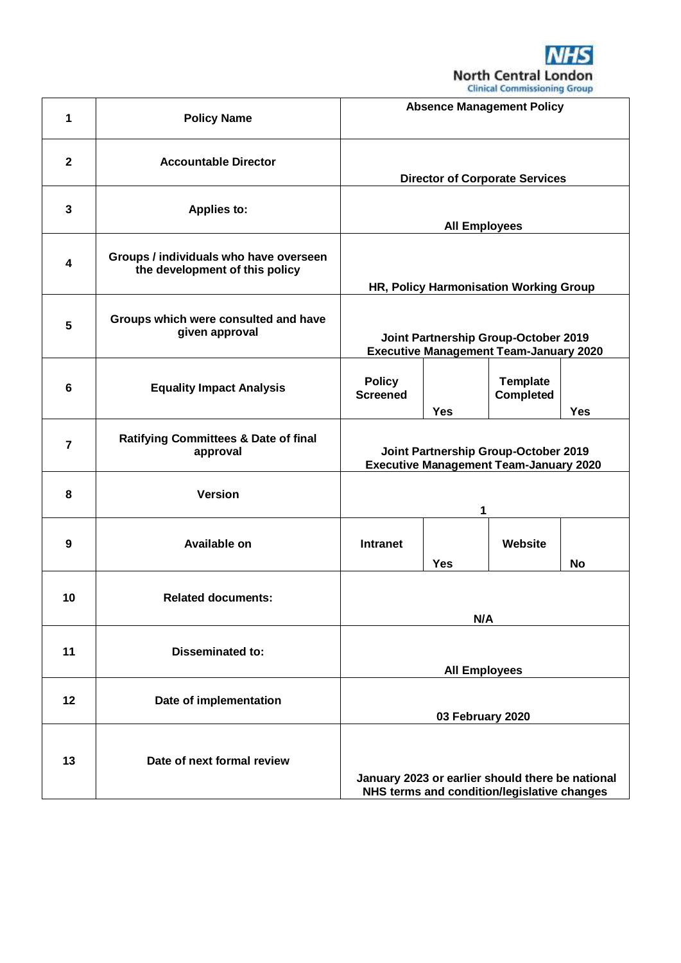

|                |                                                                          |                                                                                                 |            | Citingal Commissioning Group        |            |
|----------------|--------------------------------------------------------------------------|-------------------------------------------------------------------------------------------------|------------|-------------------------------------|------------|
| 1              | <b>Policy Name</b>                                                       | <b>Absence Management Policy</b>                                                                |            |                                     |            |
| $\mathbf{2}$   | <b>Accountable Director</b>                                              | <b>Director of Corporate Services</b>                                                           |            |                                     |            |
| $\mathbf 3$    | <b>Applies to:</b>                                                       | <b>All Employees</b>                                                                            |            |                                     |            |
| 4              | Groups / individuals who have overseen<br>the development of this policy | HR, Policy Harmonisation Working Group                                                          |            |                                     |            |
| 5              | Groups which were consulted and have<br>given approval                   | Joint Partnership Group-October 2019<br><b>Executive Management Team-January 2020</b>           |            |                                     |            |
| 6              | <b>Equality Impact Analysis</b>                                          | <b>Policy</b><br><b>Screened</b>                                                                | <b>Yes</b> | <b>Template</b><br><b>Completed</b> | <b>Yes</b> |
| $\overline{7}$ | <b>Ratifying Committees &amp; Date of final</b><br>approval              | Joint Partnership Group-October 2019<br><b>Executive Management Team-January 2020</b>           |            |                                     |            |
| 8              | <b>Version</b>                                                           | 1                                                                                               |            |                                     |            |
| 9              | Available on                                                             | <b>Intranet</b>                                                                                 | <b>Yes</b> | Website                             | No         |
| 10             | <b>Related documents:</b>                                                | N/A                                                                                             |            |                                     |            |
| 11             | <b>Disseminated to:</b>                                                  | <b>All Employees</b>                                                                            |            |                                     |            |
| 12             | Date of implementation                                                   | 03 February 2020                                                                                |            |                                     |            |
| 13             | Date of next formal review                                               | January 2023 or earlier should there be national<br>NHS terms and condition/legislative changes |            |                                     |            |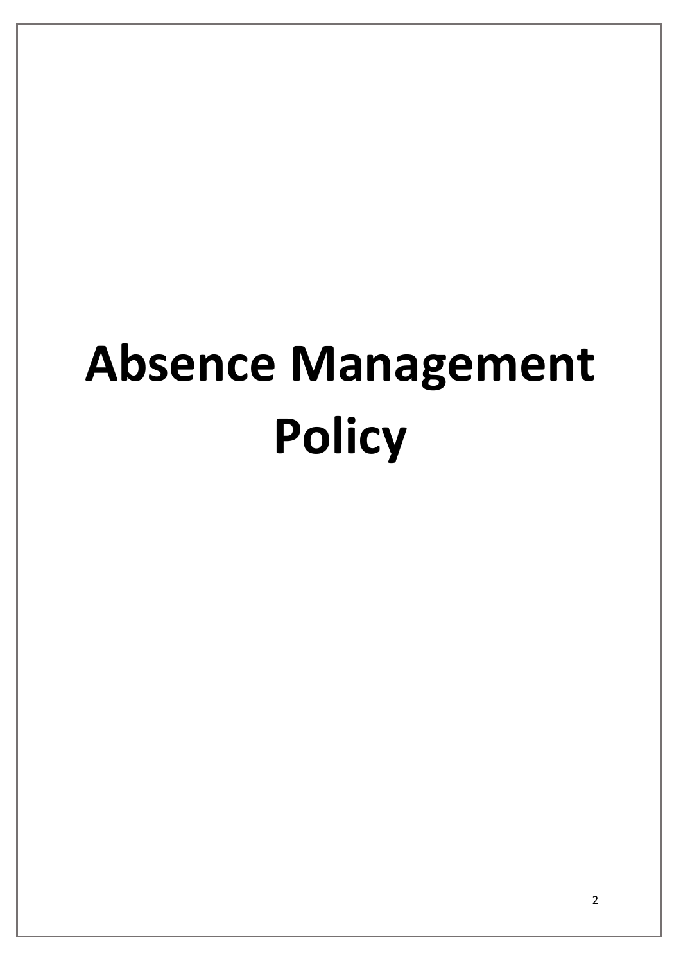# **Absence Management Policy**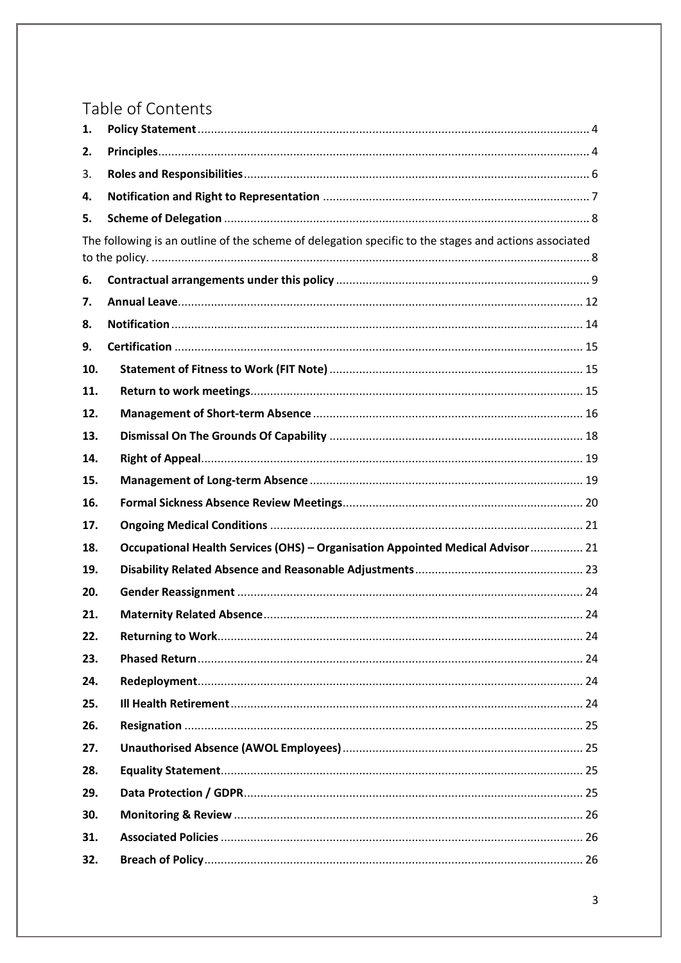# Table of Contents

| 1.  |                                                                                                       |
|-----|-------------------------------------------------------------------------------------------------------|
| 2.  |                                                                                                       |
| 3.  |                                                                                                       |
| 4.  |                                                                                                       |
| 5.  |                                                                                                       |
|     | The following is an outline of the scheme of delegation specific to the stages and actions associated |
|     |                                                                                                       |
| 6.  |                                                                                                       |
| 7.  |                                                                                                       |
| 8.  |                                                                                                       |
| 9.  |                                                                                                       |
| 10. |                                                                                                       |
| 11. |                                                                                                       |
| 12. |                                                                                                       |
| 13. |                                                                                                       |
| 14. |                                                                                                       |
| 15. |                                                                                                       |
| 16. |                                                                                                       |
| 17. |                                                                                                       |
| 18. | Occupational Health Services (OHS) - Organisation Appointed Medical Advisor  21                       |
| 19. |                                                                                                       |
| 20. |                                                                                                       |
| 21. |                                                                                                       |
| 22. |                                                                                                       |
| 23. |                                                                                                       |
| 24. |                                                                                                       |
| 25. |                                                                                                       |
| 26. |                                                                                                       |
| 27. |                                                                                                       |
| 28. |                                                                                                       |
| 29. |                                                                                                       |
| 30. |                                                                                                       |
| 31. |                                                                                                       |
| 32. |                                                                                                       |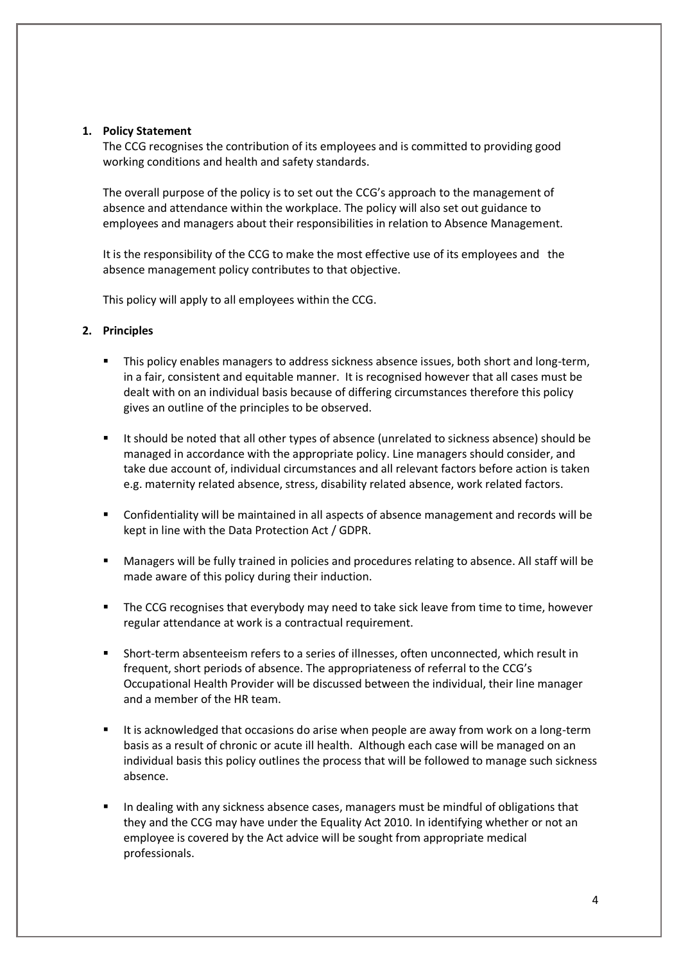#### <span id="page-3-0"></span>**1. Policy Statement**

The CCG recognises the contribution of its employees and is committed to providing good working conditions and health and safety standards.

The overall purpose of the policy is to set out the CCG's approach to the management of absence and attendance within the workplace. The policy will also set out guidance to employees and managers about their responsibilities in relation to Absence Management.

It is the responsibility of the CCG to make the most effective use of its employees and the absence management policy contributes to that objective.

This policy will apply to all employees within the CCG.

#### <span id="page-3-1"></span>**2. Principles**

- **This policy enables managers to address sickness absence issues, both short and long-term,** in a fair, consistent and equitable manner. It is recognised however that all cases must be dealt with on an individual basis because of differing circumstances therefore this policy gives an outline of the principles to be observed.
- It should be noted that all other types of absence (unrelated to sickness absence) should be managed in accordance with the appropriate policy. Line managers should consider, and take due account of, individual circumstances and all relevant factors before action is taken e.g. maternity related absence, stress, disability related absence, work related factors.
- Confidentiality will be maintained in all aspects of absence management and records will be kept in line with the Data Protection Act / GDPR.
- Managers will be fully trained in policies and procedures relating to absence. All staff will be made aware of this policy during their induction.
- The CCG recognises that everybody may need to take sick leave from time to time, however regular attendance at work is a contractual requirement.
- Short-term absenteeism refers to a series of illnesses, often unconnected, which result in frequent, short periods of absence. The appropriateness of referral to the CCG's Occupational Health Provider will be discussed between the individual, their line manager and a member of the HR team.
- It is acknowledged that occasions do arise when people are away from work on a long-term basis as a result of chronic or acute ill health. Although each case will be managed on an individual basis this policy outlines the process that will be followed to manage such sickness absence.
- In dealing with any sickness absence cases, managers must be mindful of obligations that they and the CCG may have under the Equality Act 2010. In identifying whether or not an employee is covered by the Act advice will be sought from appropriate medical professionals.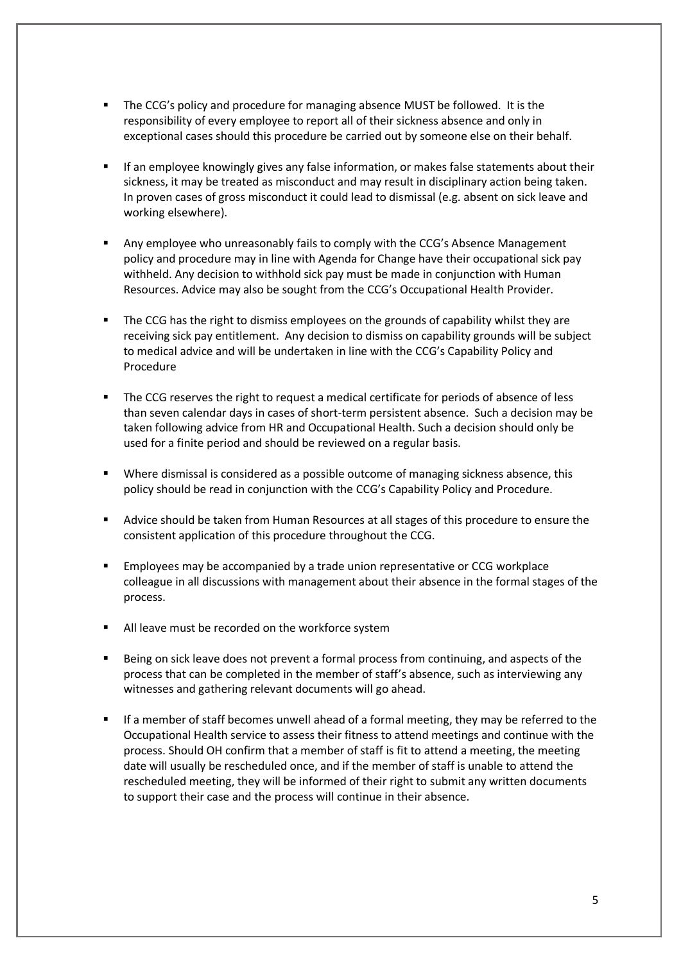- The CCG's policy and procedure for managing absence MUST be followed. It is the responsibility of every employee to report all of their sickness absence and only in exceptional cases should this procedure be carried out by someone else on their behalf.
- If an employee knowingly gives any false information, or makes false statements about their sickness, it may be treated as misconduct and may result in disciplinary action being taken. In proven cases of gross misconduct it could lead to dismissal (e.g. absent on sick leave and working elsewhere).
- Any employee who unreasonably fails to comply with the CCG's Absence Management policy and procedure may in line with Agenda for Change have their occupational sick pay withheld. Any decision to withhold sick pay must be made in conjunction with Human Resources. Advice may also be sought from the CCG's Occupational Health Provider.
- The CCG has the right to dismiss employees on the grounds of capability whilst they are receiving sick pay entitlement. Any decision to dismiss on capability grounds will be subject to medical advice and will be undertaken in line with the CCG's Capability Policy and Procedure
- The CCG reserves the right to request a medical certificate for periods of absence of less than seven calendar days in cases of short-term persistent absence. Such a decision may be taken following advice from HR and Occupational Health. Such a decision should only be used for a finite period and should be reviewed on a regular basis.
- Where dismissal is considered as a possible outcome of managing sickness absence, this policy should be read in conjunction with the CCG's Capability Policy and Procedure.
- Advice should be taken from Human Resources at all stages of this procedure to ensure the consistent application of this procedure throughout the CCG.
- Employees may be accompanied by a trade union representative or CCG workplace colleague in all discussions with management about their absence in the formal stages of the process.
- All leave must be recorded on the workforce system
- Being on sick leave does not prevent a formal process from continuing, and aspects of the process that can be completed in the member of staff's absence, such as interviewing any witnesses and gathering relevant documents will go ahead.
- If a member of staff becomes unwell ahead of a formal meeting, they may be referred to the Occupational Health service to assess their fitness to attend meetings and continue with the process. Should OH confirm that a member of staff is fit to attend a meeting, the meeting date will usually be rescheduled once, and if the member of staff is unable to attend the rescheduled meeting, they will be informed of their right to submit any written documents to support their case and the process will continue in their absence.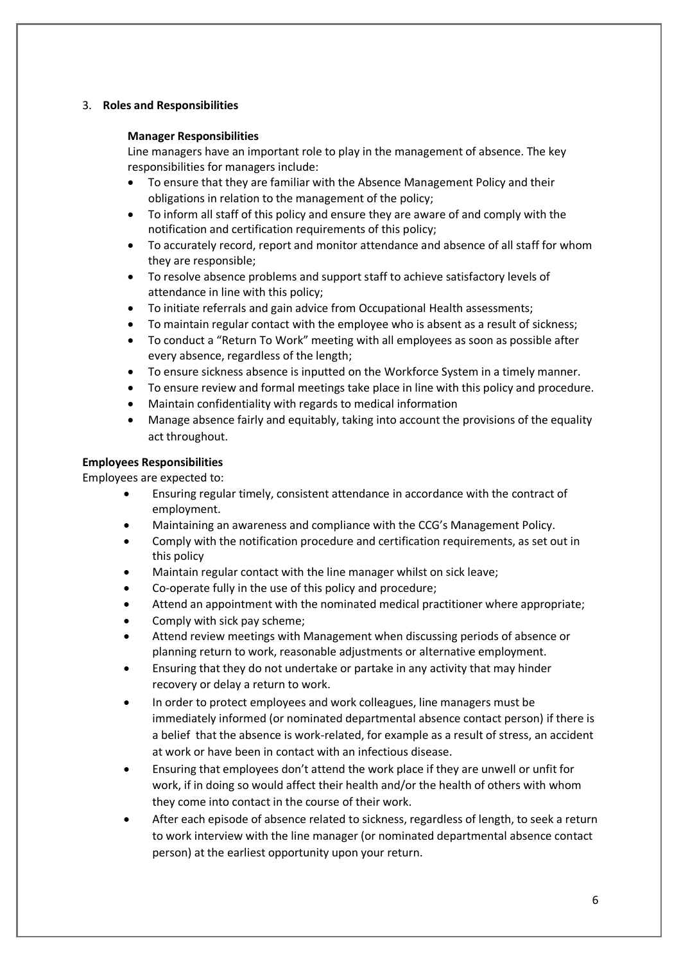# <span id="page-5-0"></span>3. **Roles and Responsibilities**

# **Manager Responsibilities**

Line managers have an important role to play in the management of absence. The key responsibilities for managers include:

- To ensure that they are familiar with the Absence Management Policy and their obligations in relation to the management of the policy;
- To inform all staff of this policy and ensure they are aware of and comply with the notification and certification requirements of this policy;
- To accurately record, report and monitor attendance and absence of all staff for whom they are responsible;
- To resolve absence problems and support staff to achieve satisfactory levels of attendance in line with this policy;
- To initiate referrals and gain advice from Occupational Health assessments;
- To maintain regular contact with the employee who is absent as a result of sickness;
- To conduct a "Return To Work" meeting with all employees as soon as possible after every absence, regardless of the length;
- To ensure sickness absence is inputted on the Workforce System in a timely manner.
- To ensure review and formal meetings take place in line with this policy and procedure.
- Maintain confidentiality with regards to medical information
- Manage absence fairly and equitably, taking into account the provisions of the equality act throughout.

# **Employees Responsibilities**

Employees are expected to:

- Ensuring regular timely, consistent attendance in accordance with the contract of employment.
- Maintaining an awareness and compliance with the CCG's Management Policy.
- Comply with the notification procedure and certification requirements, as set out in this policy
- Maintain regular contact with the line manager whilst on sick leave;
- Co-operate fully in the use of this policy and procedure;
- Attend an appointment with the nominated medical practitioner where appropriate;
- Comply with sick pay scheme;
- Attend review meetings with Management when discussing periods of absence or planning return to work, reasonable adjustments or alternative employment.
- Ensuring that they do not undertake or partake in any activity that may hinder recovery or delay a return to work.
- In order to protect employees and work colleagues, line managers must be immediately informed (or nominated departmental absence contact person) if there is a belief that the absence is work-related, for example as a result of stress, an accident at work or have been in contact with an infectious disease.
- Ensuring that employees don't attend the work place if they are unwell or unfit for work, if in doing so would affect their health and/or the health of others with whom they come into contact in the course of their work.
- After each episode of absence related to sickness, regardless of length, to seek a return to work interview with the line manager (or nominated departmental absence contact person) at the earliest opportunity upon your return.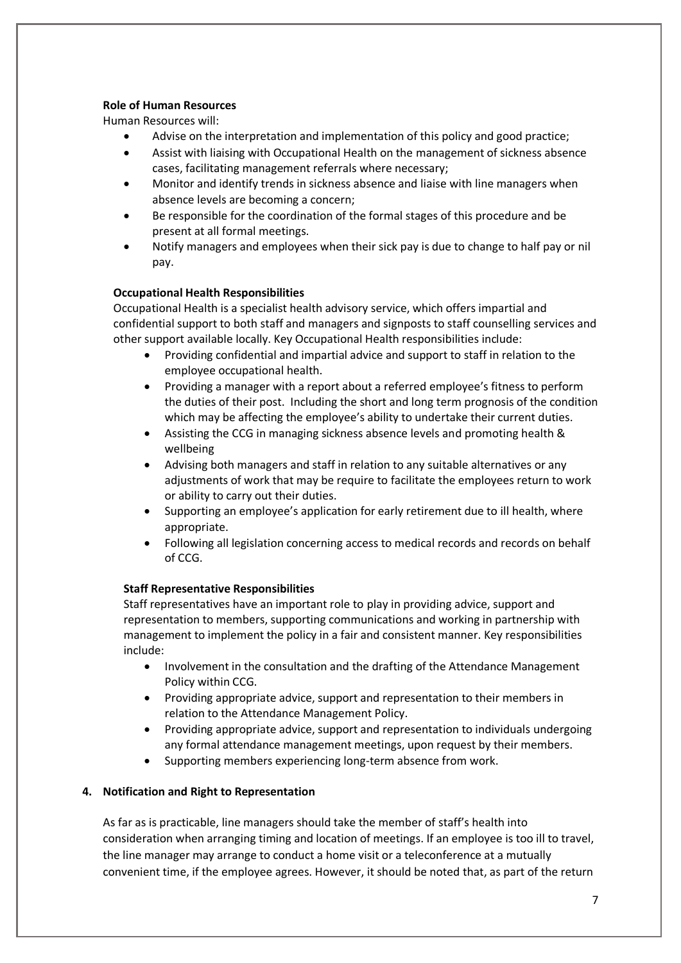# **Role of Human Resources**

Human Resources will:

- Advise on the interpretation and implementation of this policy and good practice;
- Assist with liaising with Occupational Health on the management of sickness absence cases, facilitating management referrals where necessary;
- Monitor and identify trends in sickness absence and liaise with line managers when absence levels are becoming a concern;
- Be responsible for the coordination of the formal stages of this procedure and be present at all formal meetings.
- Notify managers and employees when their sick pay is due to change to half pay or nil pay.

# **Occupational Health Responsibilities**

 Occupational Health is a specialist health advisory service, which offers impartial and confidential support to both staff and managers and signposts to staff counselling services and other support available locally. Key Occupational Health responsibilities include:

- Providing confidential and impartial advice and support to staff in relation to the employee occupational health.
- Providing a manager with a report about a referred employee's fitness to perform the duties of their post. Including the short and long term prognosis of the condition which may be affecting the employee's ability to undertake their current duties.
- Assisting the CCG in managing sickness absence levels and promoting health & wellbeing
- Advising both managers and staff in relation to any suitable alternatives or any adjustments of work that may be require to facilitate the employees return to work or ability to carry out their duties.
- Supporting an employee's application for early retirement due to ill health, where appropriate.
- Following all legislation concerning access to medical records and records on behalf of CCG.

# **Staff Representative Responsibilities**

Staff representatives have an important role to play in providing advice, support and representation to members, supporting communications and working in partnership with management to implement the policy in a fair and consistent manner. Key responsibilities include:

- Involvement in the consultation and the drafting of the Attendance Management Policy within CCG.
- Providing appropriate advice, support and representation to their members in relation to the Attendance Management Policy.
- Providing appropriate advice, support and representation to individuals undergoing any formal attendance management meetings, upon request by their members.
- Supporting members experiencing long-term absence from work.

# <span id="page-6-0"></span>**4. Notification and Right to Representation**

As far as is practicable, line managers should take the member of staff's health into consideration when arranging timing and location of meetings. If an employee is too ill to travel, the line manager may arrange to conduct a home visit or a teleconference at a mutually convenient time, if the employee agrees. However, it should be noted that, as part of the return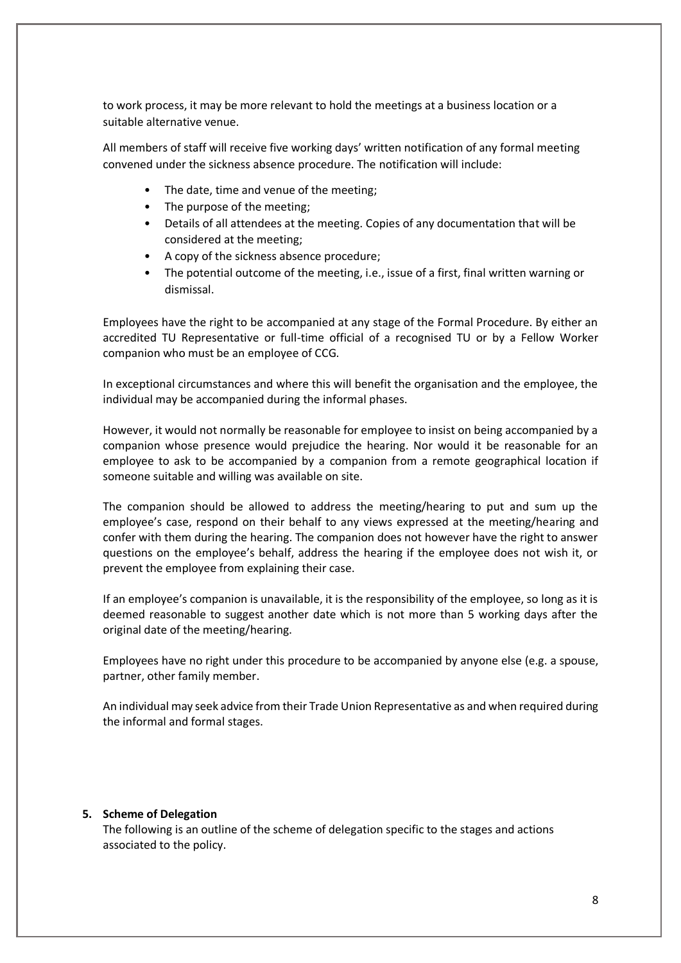to work process, it may be more relevant to hold the meetings at a business location or a suitable alternative venue.

All members of staff will receive five working days' written notification of any formal meeting convened under the sickness absence procedure. The notification will include:

- The date, time and venue of the meeting;
- The purpose of the meeting;
- Details of all attendees at the meeting. Copies of any documentation that will be considered at the meeting;
- A copy of the sickness absence procedure;
- The potential outcome of the meeting, i.e., issue of a first, final written warning or dismissal.

Employees have the right to be accompanied at any stage of the Formal Procedure. By either an accredited TU Representative or full-time official of a recognised TU or by a Fellow Worker companion who must be an employee of CCG.

In exceptional circumstances and where this will benefit the organisation and the employee, the individual may be accompanied during the informal phases.

However, it would not normally be reasonable for employee to insist on being accompanied by a companion whose presence would prejudice the hearing. Nor would it be reasonable for an employee to ask to be accompanied by a companion from a remote geographical location if someone suitable and willing was available on site.

The companion should be allowed to address the meeting/hearing to put and sum up the employee's case, respond on their behalf to any views expressed at the meeting/hearing and confer with them during the hearing. The companion does not however have the right to answer questions on the employee's behalf, address the hearing if the employee does not wish it, or prevent the employee from explaining their case.

If an employee's companion is unavailable, it is the responsibility of the employee, so long as it is deemed reasonable to suggest another date which is not more than 5 working days after the original date of the meeting/hearing.

Employees have no right under this procedure to be accompanied by anyone else (e.g. a spouse, partner, other family member.

An individual may seek advice from their Trade Union Representative as and when required during the informal and formal stages.

#### <span id="page-7-1"></span><span id="page-7-0"></span>**5. Scheme of Delegation**

The following is an outline of the scheme of delegation specific to the stages and actions associated to the policy.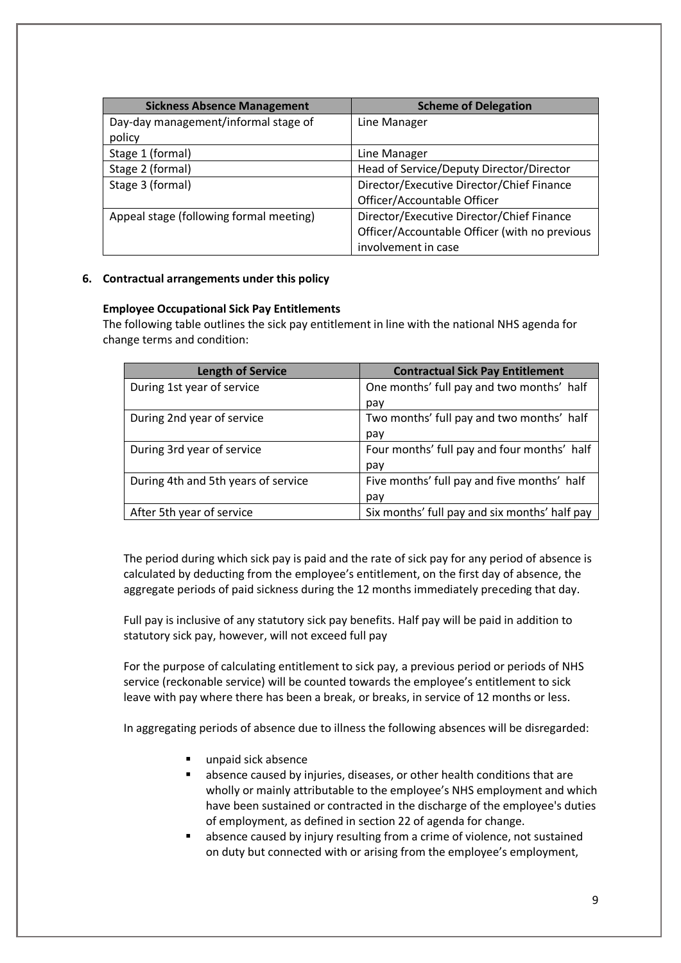| <b>Sickness Absence Management</b>      | <b>Scheme of Delegation</b>                   |  |
|-----------------------------------------|-----------------------------------------------|--|
| Day-day management/informal stage of    | Line Manager                                  |  |
| policy                                  |                                               |  |
| Stage 1 (formal)                        | Line Manager                                  |  |
| Stage 2 (formal)                        | Head of Service/Deputy Director/Director      |  |
| Stage 3 (formal)                        | Director/Executive Director/Chief Finance     |  |
|                                         | Officer/Accountable Officer                   |  |
| Appeal stage (following formal meeting) | Director/Executive Director/Chief Finance     |  |
|                                         | Officer/Accountable Officer (with no previous |  |
|                                         | involvement in case                           |  |

# <span id="page-8-0"></span>**6. Contractual arrangements under this policy**

# **Employee Occupational Sick Pay Entitlements**

The following table outlines the sick pay entitlement in line with the national NHS agenda for change terms and condition:

| <b>Length of Service</b>            | <b>Contractual Sick Pay Entitlement</b>       |
|-------------------------------------|-----------------------------------------------|
| During 1st year of service          | One months' full pay and two months' half     |
|                                     | pay                                           |
| During 2nd year of service          | Two months' full pay and two months' half     |
|                                     | pay                                           |
| During 3rd year of service          | Four months' full pay and four months' half   |
|                                     | pay                                           |
| During 4th and 5th years of service | Five months' full pay and five months' half   |
|                                     | pay                                           |
| After 5th year of service           | Six months' full pay and six months' half pay |

The period during which sick pay is paid and the rate of sick pay for any period of absence is calculated by deducting from the employee's entitlement, on the first day of absence, the aggregate periods of paid sickness during the 12 months immediately preceding that day.

Full pay is inclusive of any statutory sick pay benefits. Half pay will be paid in addition to statutory sick pay, however, will not exceed full pay

For the purpose of calculating entitlement to sick pay, a previous period or periods of NHS service (reckonable service) will be counted towards the employee's entitlement to sick leave with pay where there has been a break, or breaks, in service of 12 months or less.

In aggregating periods of absence due to illness the following absences will be disregarded:

- unpaid sick absence
- absence caused by injuries, diseases, or other health conditions that are wholly or mainly attributable to the employee's NHS employment and which have been sustained or contracted in the discharge of the employee's duties of employment, as defined in section 22 of agenda for change.
- absence caused by injury resulting from a crime of violence, not sustained on duty but connected with or arising from the employee's employment,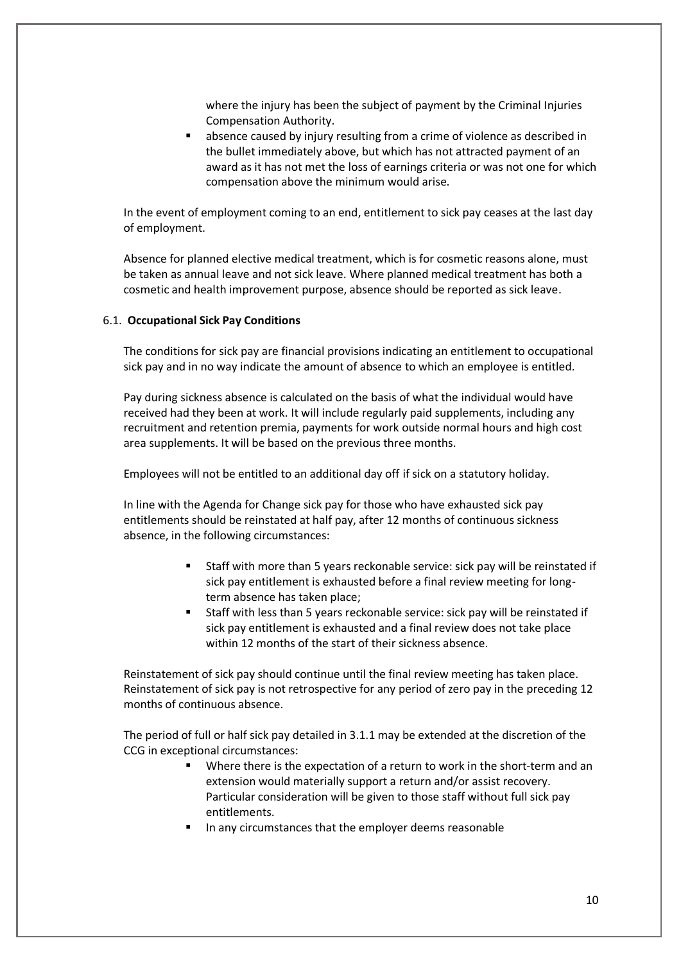where the injury has been the subject of payment by the Criminal Injuries Compensation Authority.

 absence caused by injury resulting from a crime of violence as described in the bullet immediately above, but which has not attracted payment of an award as it has not met the loss of earnings criteria or was not one for which compensation above the minimum would arise.

In the event of employment coming to an end, entitlement to sick pay ceases at the last day of employment.

Absence for planned elective medical treatment, which is for cosmetic reasons alone, must be taken as annual leave and not sick leave. Where planned medical treatment has both a cosmetic and health improvement purpose, absence should be reported as sick leave.

#### 6.1. **Occupational Sick Pay Conditions**

The conditions for sick pay are financial provisions indicating an entitlement to occupational sick pay and in no way indicate the amount of absence to which an employee is entitled.

Pay during sickness absence is calculated on the basis of what the individual would have received had they been at work. It will include regularly paid supplements, including any recruitment and retention premia, payments for work outside normal hours and high cost area supplements. It will be based on the previous three months.

Employees will not be entitled to an additional day off if sick on a statutory holiday.

In line with the Agenda for Change sick pay for those who have exhausted sick pay entitlements should be reinstated at half pay, after 12 months of continuous sickness absence, in the following circumstances:

- Staff with more than 5 years reckonable service: sick pay will be reinstated if sick pay entitlement is exhausted before a final review meeting for longterm absence has taken place;
- Staff with less than 5 years reckonable service: sick pay will be reinstated if sick pay entitlement is exhausted and a final review does not take place within 12 months of the start of their sickness absence.

Reinstatement of sick pay should continue until the final review meeting has taken place. Reinstatement of sick pay is not retrospective for any period of zero pay in the preceding 12 months of continuous absence.

The period of full or half sick pay detailed in 3.1.1 may be extended at the discretion of the CCG in exceptional circumstances:

- **Where there is the expectation of a return to work in the short-term and an** extension would materially support a return and/or assist recovery. Particular consideration will be given to those staff without full sick pay entitlements.
- In any circumstances that the employer deems reasonable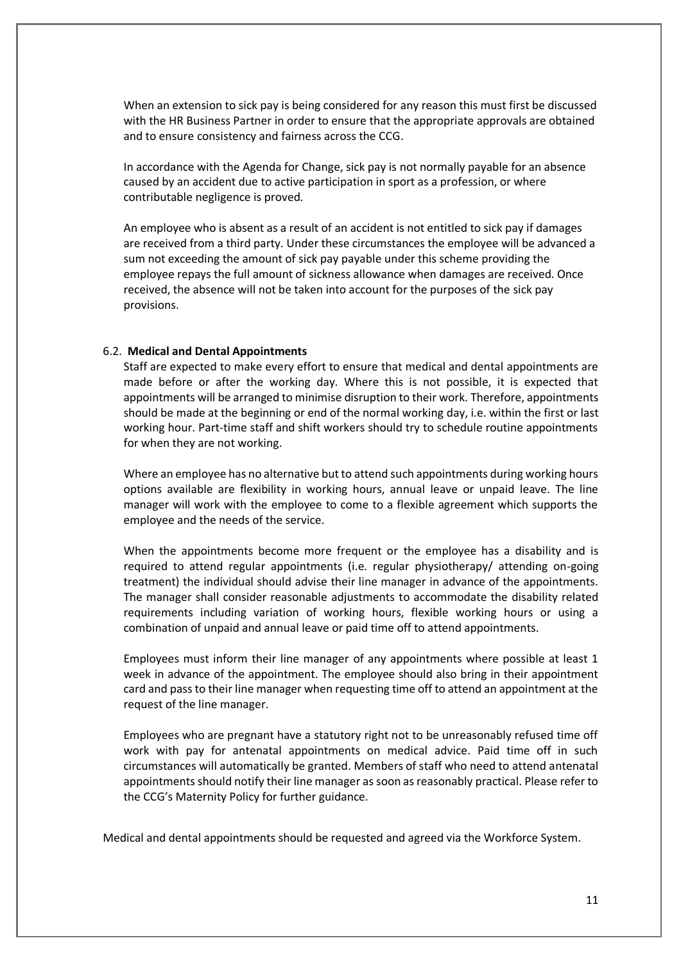When an extension to sick pay is being considered for any reason this must first be discussed with the HR Business Partner in order to ensure that the appropriate approvals are obtained and to ensure consistency and fairness across the CCG.

In accordance with the Agenda for Change, sick pay is not normally payable for an absence caused by an accident due to active participation in sport as a profession, or where contributable negligence is proved.

An employee who is absent as a result of an accident is not entitled to sick pay if damages are received from a third party. Under these circumstances the employee will be advanced a sum not exceeding the amount of sick pay payable under this scheme providing the employee repays the full amount of sickness allowance when damages are received. Once received, the absence will not be taken into account for the purposes of the sick pay provisions.

#### 6.2. **Medical and Dental Appointments**

Staff are expected to make every effort to ensure that medical and dental appointments are made before or after the working day. Where this is not possible, it is expected that appointments will be arranged to minimise disruption to their work. Therefore, appointments should be made at the beginning or end of the normal working day, i.e. within the first or last working hour. Part-time staff and shift workers should try to schedule routine appointments for when they are not working.

Where an employee has no alternative but to attend such appointments during working hours options available are flexibility in working hours, annual leave or unpaid leave. The line manager will work with the employee to come to a flexible agreement which supports the employee and the needs of the service.

When the appointments become more frequent or the employee has a disability and is required to attend regular appointments (i.e. regular physiotherapy/ attending on-going treatment) the individual should advise their line manager in advance of the appointments. The manager shall consider reasonable adjustments to accommodate the disability related requirements including variation of working hours, flexible working hours or using a combination of unpaid and annual leave or paid time off to attend appointments.

Employees must inform their line manager of any appointments where possible at least 1 week in advance of the appointment. The employee should also bring in their appointment card and pass to their line manager when requesting time off to attend an appointment at the request of the line manager.

Employees who are pregnant have a statutory right not to be unreasonably refused time off work with pay for antenatal appointments on medical advice. Paid time off in such circumstances will automatically be granted. Members of staff who need to attend antenatal appointments should notify their line manager as soon as reasonably practical. Please refer to the CCG's Maternity Policy for further guidance.

Medical and dental appointments should be requested and agreed via the Workforce System.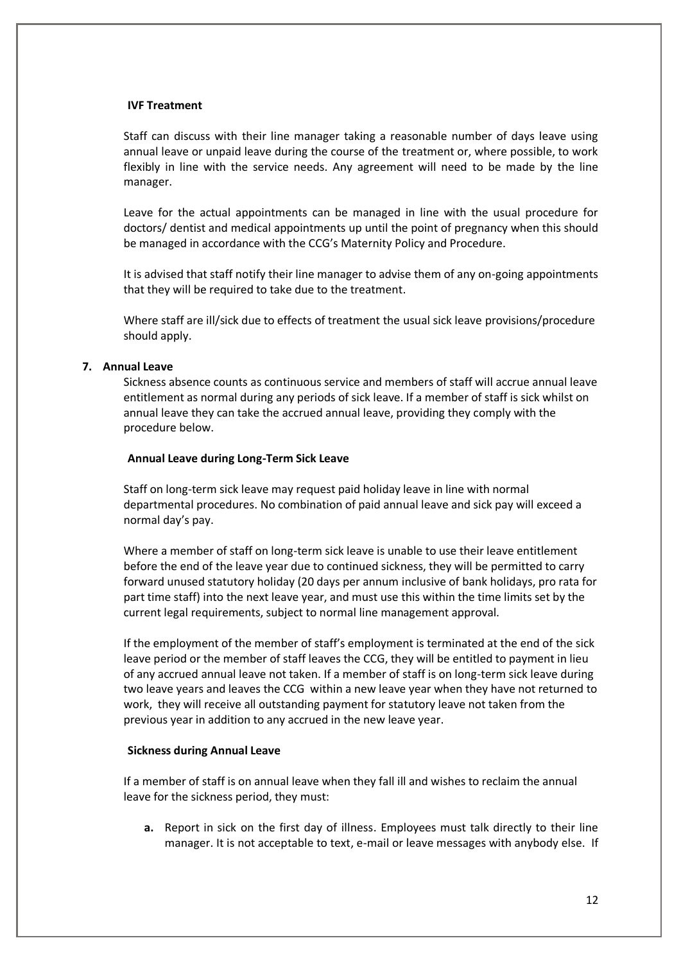#### **IVF Treatment**

Staff can discuss with their line manager taking a reasonable number of days leave using annual leave or unpaid leave during the course of the treatment or, where possible, to work flexibly in line with the service needs. Any agreement will need to be made by the line manager.

Leave for the actual appointments can be managed in line with the usual procedure for doctors/ dentist and medical appointments up until the point of pregnancy when this should be managed in accordance with the CCG's Maternity Policy and Procedure.

It is advised that staff notify their line manager to advise them of any on-going appointments that they will be required to take due to the treatment.

Where staff are ill/sick due to effects of treatment the usual sick leave provisions/procedure should apply.

#### <span id="page-11-0"></span>**7. Annual Leave**

Sickness absence counts as continuous service and members of staff will accrue annual leave entitlement as normal during any periods of sick leave. If a member of staff is sick whilst on annual leave they can take the accrued annual leave, providing they comply with the procedure below.

#### **Annual Leave during Long-Term Sick Leave**

Staff on long-term sick leave may request paid holiday leave in line with normal departmental procedures. No combination of paid annual leave and sick pay will exceed a normal day's pay.

Where a member of staff on long-term sick leave is unable to use their leave entitlement before the end of the leave year due to continued sickness, they will be permitted to carry forward unused statutory holiday (20 days per annum inclusive of bank holidays, pro rata for part time staff) into the next leave year, and must use this within the time limits set by the current legal requirements, subject to normal line management approval.

If the employment of the member of staff's employment is terminated at the end of the sick leave period or the member of staff leaves the CCG, they will be entitled to payment in lieu of any accrued annual leave not taken. If a member of staff is on long-term sick leave during two leave years and leaves the CCG within a new leave year when they have not returned to work, they will receive all outstanding payment for statutory leave not taken from the previous year in addition to any accrued in the new leave year.

#### **Sickness during Annual Leave**

If a member of staff is on annual leave when they fall ill and wishes to reclaim the annual leave for the sickness period, they must:

**a.** Report in sick on the first day of illness. Employees must talk directly to their line manager. It is not acceptable to text, e-mail or leave messages with anybody else. If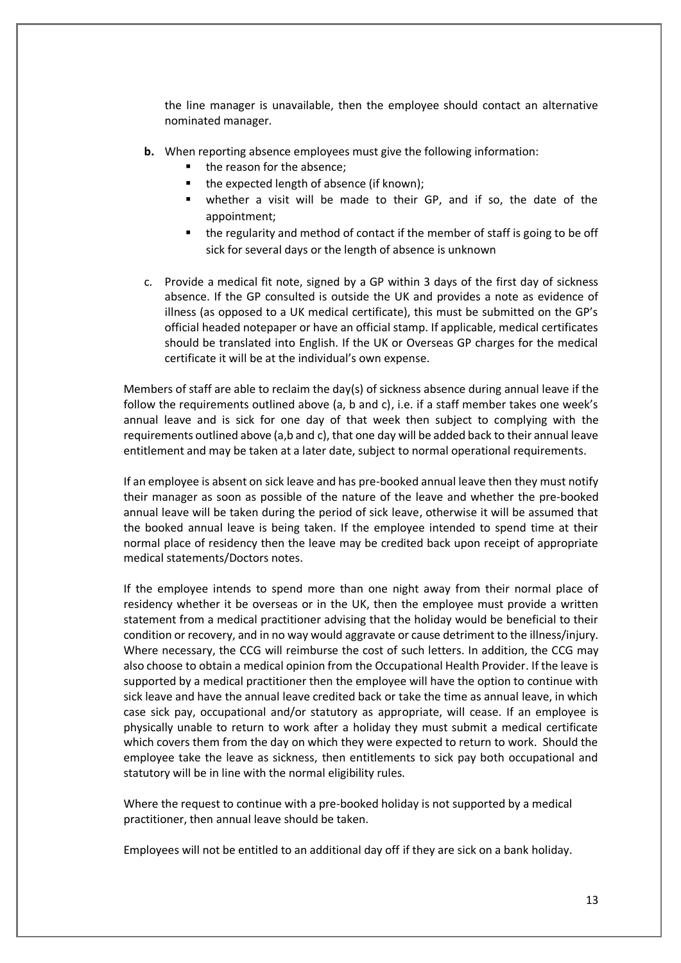the line manager is unavailable, then the employee should contact an alternative nominated manager.

- **b.** When reporting absence employees must give the following information:
	- the reason for the absence;
	- the expected length of absence (if known);
	- whether a visit will be made to their GP, and if so, the date of the appointment;
	- the regularity and method of contact if the member of staff is going to be off sick for several days or the length of absence is unknown
- c. Provide a medical fit note, signed by a GP within 3 days of the first day of sickness absence. If the GP consulted is outside the UK and provides a note as evidence of illness (as opposed to a UK medical certificate), this must be submitted on the GP's official headed notepaper or have an official stamp. If applicable, medical certificates should be translated into English. If the UK or Overseas GP charges for the medical certificate it will be at the individual's own expense.

Members of staff are able to reclaim the day(s) of sickness absence during annual leave if the follow the requirements outlined above (a, b and c), i.e. if a staff member takes one week's annual leave and is sick for one day of that week then subject to complying with the requirements outlined above (a,b and c), that one day will be added back to their annual leave entitlement and may be taken at a later date, subject to normal operational requirements.

If an employee is absent on sick leave and has pre-booked annual leave then they must notify their manager as soon as possible of the nature of the leave and whether the pre-booked annual leave will be taken during the period of sick leave, otherwise it will be assumed that the booked annual leave is being taken. If the employee intended to spend time at their normal place of residency then the leave may be credited back upon receipt of appropriate medical statements/Doctors notes.

If the employee intends to spend more than one night away from their normal place of residency whether it be overseas or in the UK, then the employee must provide a written statement from a medical practitioner advising that the holiday would be beneficial to their condition or recovery, and in no way would aggravate or cause detriment to the illness/injury. Where necessary, the CCG will reimburse the cost of such letters. In addition, the CCG may also choose to obtain a medical opinion from the Occupational Health Provider. If the leave is supported by a medical practitioner then the employee will have the option to continue with sick leave and have the annual leave credited back or take the time as annual leave, in which case sick pay, occupational and/or statutory as appropriate, will cease. If an employee is physically unable to return to work after a holiday they must submit a medical certificate which covers them from the day on which they were expected to return to work. Should the employee take the leave as sickness, then entitlements to sick pay both occupational and statutory will be in line with the normal eligibility rules.

Where the request to continue with a pre-booked holiday is not supported by a medical practitioner, then annual leave should be taken.

Employees will not be entitled to an additional day off if they are sick on a bank holiday.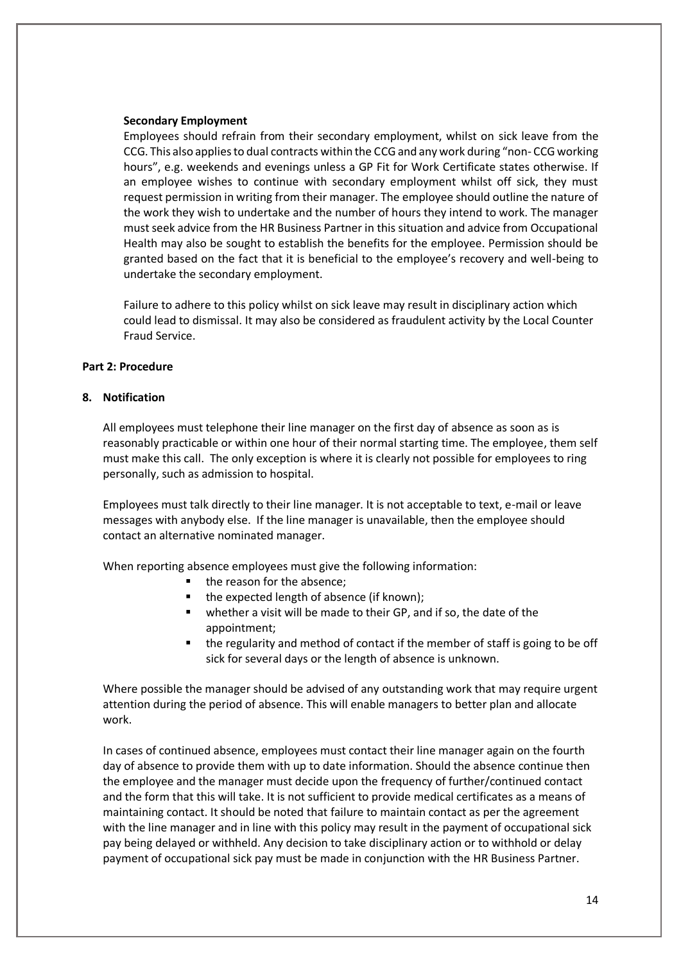#### **Secondary Employment**

Employees should refrain from their secondary employment, whilst on sick leave from the CCG. This also applies to dual contracts within the CCG and any work during "non- CCG working hours", e.g. weekends and evenings unless a GP Fit for Work Certificate states otherwise. If an employee wishes to continue with secondary employment whilst off sick, they must request permission in writing from their manager. The employee should outline the nature of the work they wish to undertake and the number of hours they intend to work. The manager must seek advice from the HR Business Partner in this situation and advice from Occupational Health may also be sought to establish the benefits for the employee. Permission should be granted based on the fact that it is beneficial to the employee's recovery and well-being to undertake the secondary employment.

Failure to adhere to this policy whilst on sick leave may result in disciplinary action which could lead to dismissal. It may also be considered as fraudulent activity by the Local Counter Fraud Service.

#### **Part 2: Procedure**

# <span id="page-13-0"></span>**8. Notification**

All employees must telephone their line manager on the first day of absence as soon as is reasonably practicable or within one hour of their normal starting time. The employee, them self must make this call. The only exception is where it is clearly not possible for employees to ring personally, such as admission to hospital.

Employees must talk directly to their line manager. It is not acceptable to text, e-mail or leave messages with anybody else. If the line manager is unavailable, then the employee should contact an alternative nominated manager.

When reporting absence employees must give the following information:

- the reason for the absence;
- the expected length of absence (if known);
- whether a visit will be made to their GP, and if so, the date of the appointment;
- the regularity and method of contact if the member of staff is going to be off sick for several days or the length of absence is unknown.

Where possible the manager should be advised of any outstanding work that may require urgent attention during the period of absence. This will enable managers to better plan and allocate work.

In cases of continued absence, employees must contact their line manager again on the fourth day of absence to provide them with up to date information. Should the absence continue then the employee and the manager must decide upon the frequency of further/continued contact and the form that this will take. It is not sufficient to provide medical certificates as a means of maintaining contact. It should be noted that failure to maintain contact as per the agreement with the line manager and in line with this policy may result in the payment of occupational sick pay being delayed or withheld. Any decision to take disciplinary action or to withhold or delay payment of occupational sick pay must be made in conjunction with the HR Business Partner.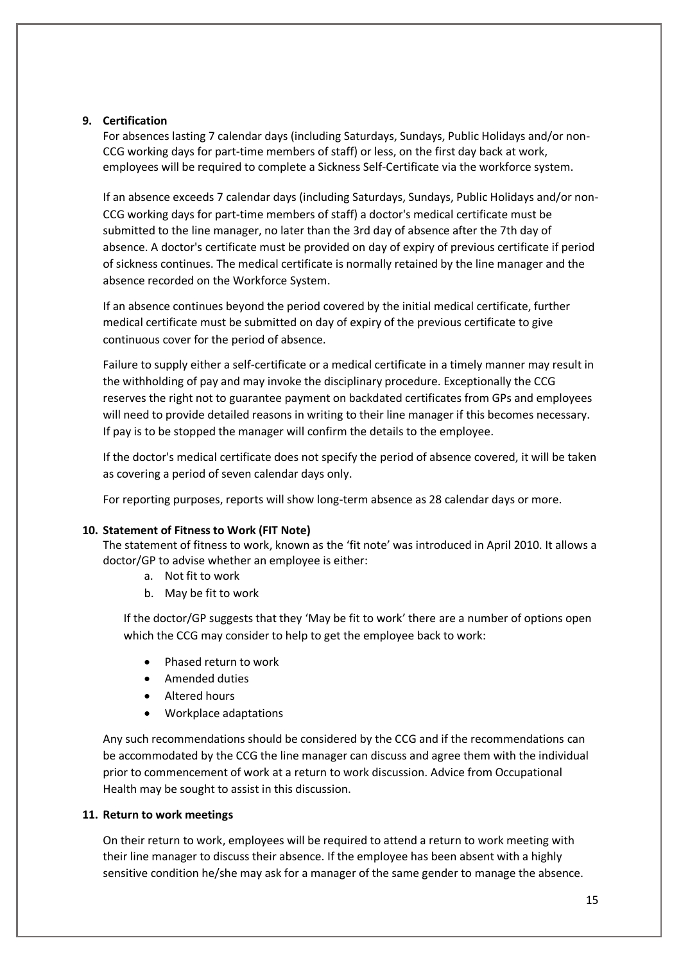# <span id="page-14-0"></span>**9. Certification**

For absences lasting 7 calendar days (including Saturdays, Sundays, Public Holidays and/or non-CCG working days for part-time members of staff) or less, on the first day back at work, employees will be required to complete a Sickness Self-Certificate via the workforce system.

If an absence exceeds 7 calendar days (including Saturdays, Sundays, Public Holidays and/or non-CCG working days for part-time members of staff) a doctor's medical certificate must be submitted to the line manager, no later than the 3rd day of absence after the 7th day of absence. A doctor's certificate must be provided on day of expiry of previous certificate if period of sickness continues. The medical certificate is normally retained by the line manager and the absence recorded on the Workforce System.

If an absence continues beyond the period covered by the initial medical certificate, further medical certificate must be submitted on day of expiry of the previous certificate to give continuous cover for the period of absence.

Failure to supply either a self-certificate or a medical certificate in a timely manner may result in the withholding of pay and may invoke the disciplinary procedure. Exceptionally the CCG reserves the right not to guarantee payment on backdated certificates from GPs and employees will need to provide detailed reasons in writing to their line manager if this becomes necessary. If pay is to be stopped the manager will confirm the details to the employee.

If the doctor's medical certificate does not specify the period of absence covered, it will be taken as covering a period of seven calendar days only.

For reporting purposes, reports will show long-term absence as 28 calendar days or more.

# <span id="page-14-1"></span>**10. Statement of Fitness to Work (FIT Note)**

The statement of fitness to work, known as the 'fit note' was introduced in April 2010. It allows a doctor/GP to advise whether an employee is either:

- a. Not fit to work
- b. May be fit to work

If the doctor/GP suggests that they 'May be fit to work' there are a number of options open which the CCG may consider to help to get the employee back to work:

- Phased return to work
- Amended duties
- Altered hours
- Workplace adaptations

Any such recommendations should be considered by the CCG and if the recommendations can be accommodated by the CCG the line manager can discuss and agree them with the individual prior to commencement of work at a return to work discussion. Advice from Occupational Health may be sought to assist in this discussion.

# <span id="page-14-2"></span>**11. Return to work meetings**

On their return to work, employees will be required to attend a return to work meeting with their line manager to discuss their absence. If the employee has been absent with a highly sensitive condition he/she may ask for a manager of the same gender to manage the absence.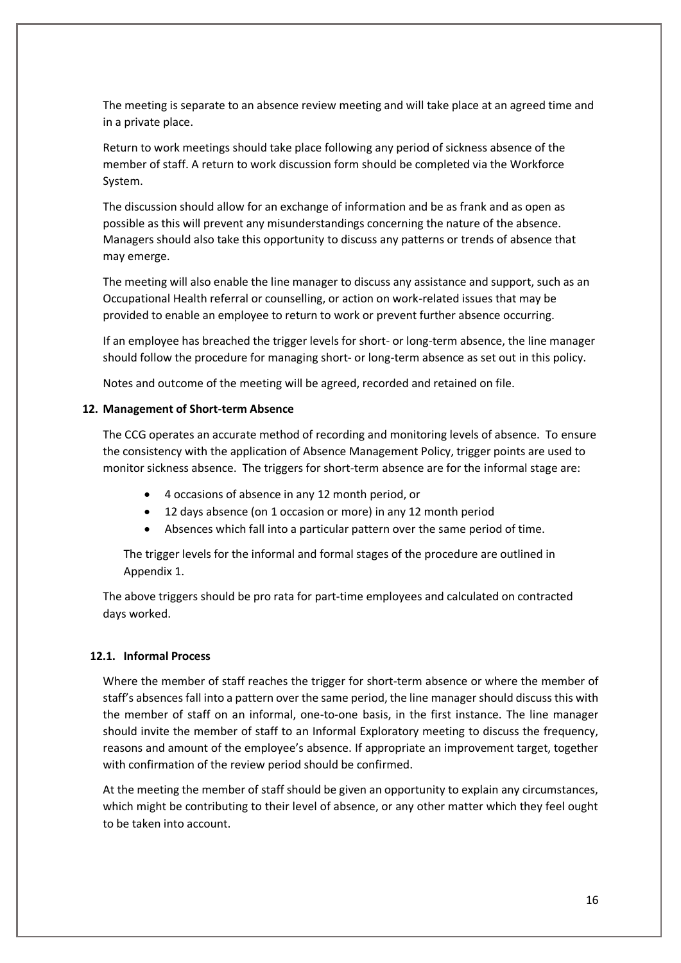The meeting is separate to an absence review meeting and will take place at an agreed time and in a private place.

Return to work meetings should take place following any period of sickness absence of the member of staff. A return to work discussion form should be completed via the Workforce System.

The discussion should allow for an exchange of information and be as frank and as open as possible as this will prevent any misunderstandings concerning the nature of the absence. Managers should also take this opportunity to discuss any patterns or trends of absence that may emerge.

The meeting will also enable the line manager to discuss any assistance and support, such as an Occupational Health referral or counselling, or action on work-related issues that may be provided to enable an employee to return to work or prevent further absence occurring.

If an employee has breached the trigger levels for short- or long-term absence, the line manager should follow the procedure for managing short- or long-term absence as set out in this policy.

Notes and outcome of the meeting will be agreed, recorded and retained on file.

#### <span id="page-15-0"></span>**12. Management of Short-term Absence**

The CCG operates an accurate method of recording and monitoring levels of absence. To ensure the consistency with the application of Absence Management Policy, trigger points are used to monitor sickness absence. The triggers for short-term absence are for the informal stage are:

- 4 occasions of absence in any 12 month period, or
- 12 days absence (on 1 occasion or more) in any 12 month period
- Absences which fall into a particular pattern over the same period of time.

The trigger levels for the informal and formal stages of the procedure are outlined in Appendix 1.

The above triggers should be pro rata for part-time employees and calculated on contracted days worked.

# **12.1. Informal Process**

Where the member of staff reaches the trigger for short-term absence or where the member of staff's absences fall into a pattern over the same period, the line manager should discuss this with the member of staff on an informal, one-to-one basis, in the first instance. The line manager should invite the member of staff to an Informal Exploratory meeting to discuss the frequency, reasons and amount of the employee's absence. If appropriate an improvement target, together with confirmation of the review period should be confirmed.

At the meeting the member of staff should be given an opportunity to explain any circumstances, which might be contributing to their level of absence, or any other matter which they feel ought to be taken into account.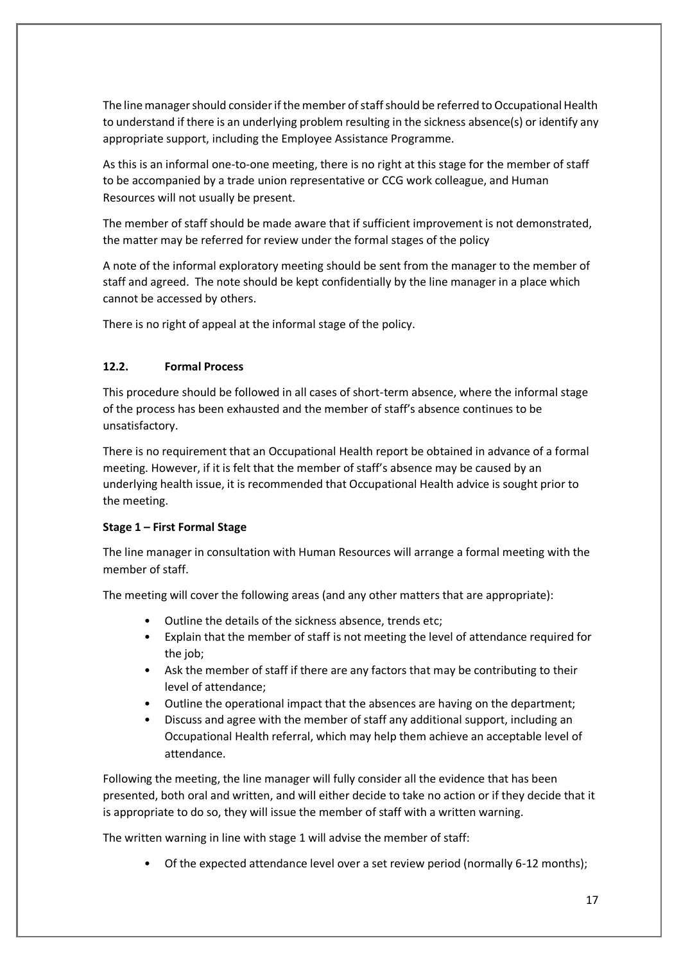The line manager should consider if the member of staff should be referred to Occupational Health to understand if there is an underlying problem resulting in the sickness absence(s) or identify any appropriate support, including the Employee Assistance Programme.

As this is an informal one-to-one meeting, there is no right at this stage for the member of staff to be accompanied by a trade union representative or CCG work colleague, and Human Resources will not usually be present.

The member of staff should be made aware that if sufficient improvement is not demonstrated, the matter may be referred for review under the formal stages of the policy

A note of the informal exploratory meeting should be sent from the manager to the member of staff and agreed. The note should be kept confidentially by the line manager in a place which cannot be accessed by others.

There is no right of appeal at the informal stage of the policy.

# **12.2. Formal Process**

This procedure should be followed in all cases of short-term absence, where the informal stage of the process has been exhausted and the member of staff's absence continues to be unsatisfactory.

There is no requirement that an Occupational Health report be obtained in advance of a formal meeting. However, if it is felt that the member of staff's absence may be caused by an underlying health issue, it is recommended that Occupational Health advice is sought prior to the meeting.

# **Stage 1 – First Formal Stage**

The line manager in consultation with Human Resources will arrange a formal meeting with the member of staff.

The meeting will cover the following areas (and any other matters that are appropriate):

- Outline the details of the sickness absence, trends etc;
- Explain that the member of staff is not meeting the level of attendance required for the job;
- Ask the member of staff if there are any factors that may be contributing to their level of attendance;
- Outline the operational impact that the absences are having on the department;
- Discuss and agree with the member of staff any additional support, including an Occupational Health referral, which may help them achieve an acceptable level of attendance.

Following the meeting, the line manager will fully consider all the evidence that has been presented, both oral and written, and will either decide to take no action or if they decide that it is appropriate to do so, they will issue the member of staff with a written warning.

The written warning in line with stage 1 will advise the member of staff:

• Of the expected attendance level over a set review period (normally 6-12 months);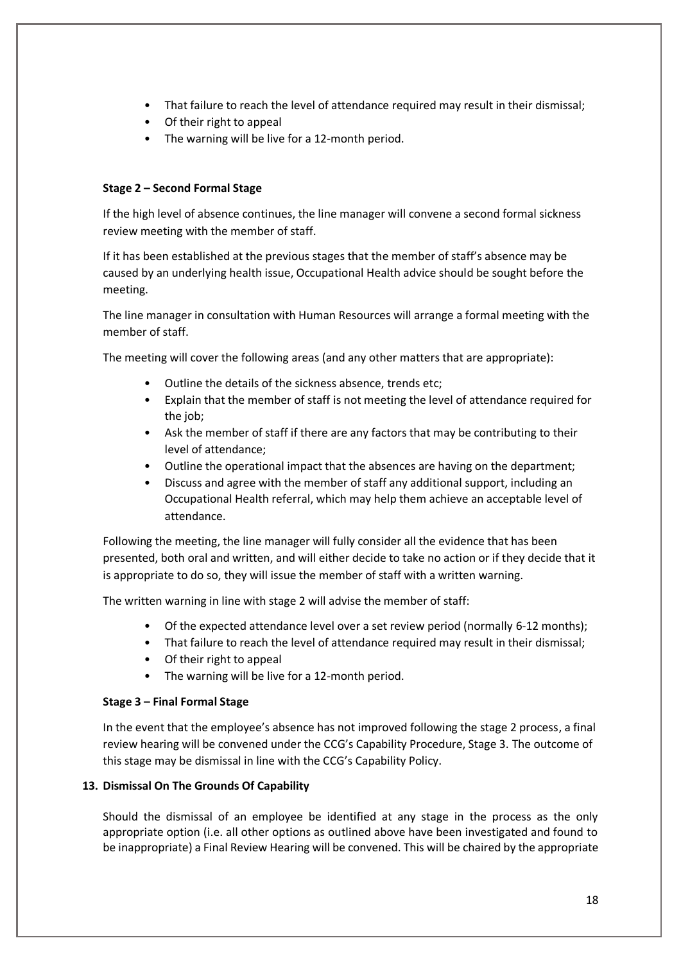- That failure to reach the level of attendance required may result in their dismissal;
- Of their right to appeal
- The warning will be live for a 12-month period.

# **Stage 2 – Second Formal Stage**

If the high level of absence continues, the line manager will convene a second formal sickness review meeting with the member of staff.

If it has been established at the previous stages that the member of staff's absence may be caused by an underlying health issue, Occupational Health advice should be sought before the meeting.

The line manager in consultation with Human Resources will arrange a formal meeting with the member of staff.

The meeting will cover the following areas (and any other matters that are appropriate):

- Outline the details of the sickness absence, trends etc;
- Explain that the member of staff is not meeting the level of attendance required for the job;
- Ask the member of staff if there are any factors that may be contributing to their level of attendance;
- Outline the operational impact that the absences are having on the department;
- Discuss and agree with the member of staff any additional support, including an Occupational Health referral, which may help them achieve an acceptable level of attendance.

Following the meeting, the line manager will fully consider all the evidence that has been presented, both oral and written, and will either decide to take no action or if they decide that it is appropriate to do so, they will issue the member of staff with a written warning.

The written warning in line with stage 2 will advise the member of staff:

- Of the expected attendance level over a set review period (normally 6-12 months);
- That failure to reach the level of attendance required may result in their dismissal;
- Of their right to appeal
- The warning will be live for a 12-month period.

# **Stage 3 – Final Formal Stage**

In the event that the employee's absence has not improved following the stage 2 process, a final review hearing will be convened under the CCG's Capability Procedure, Stage 3. The outcome of this stage may be dismissal in line with the CCG's Capability Policy.

# <span id="page-17-0"></span>**13. Dismissal On The Grounds Of Capability**

Should the dismissal of an employee be identified at any stage in the process as the only appropriate option (i.e. all other options as outlined above have been investigated and found to be inappropriate) a Final Review Hearing will be convened. This will be chaired by the appropriate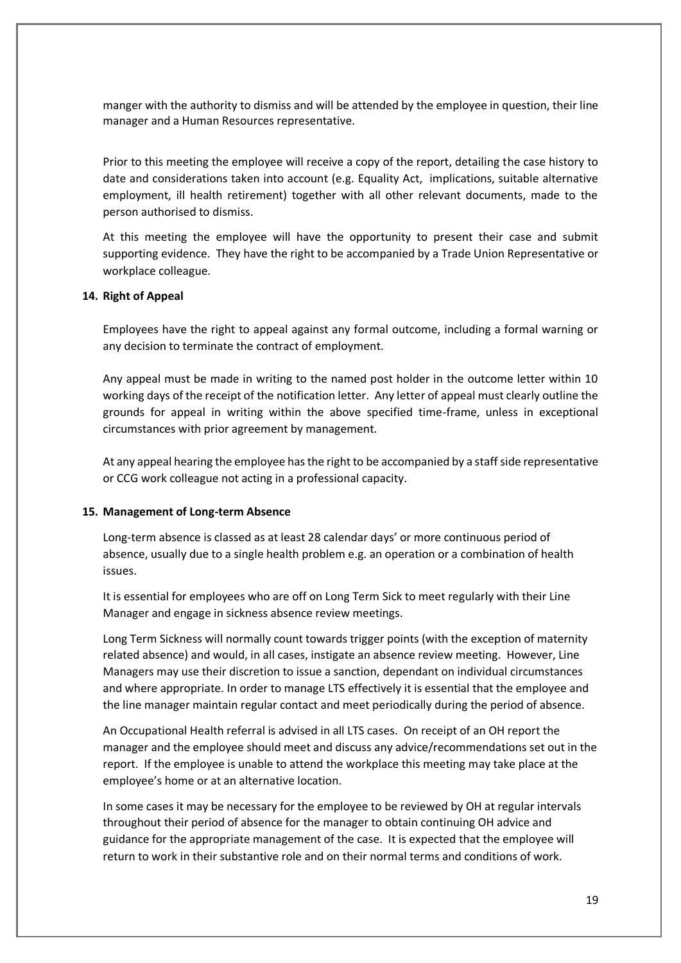manger with the authority to dismiss and will be attended by the employee in question, their line manager and a Human Resources representative.

Prior to this meeting the employee will receive a copy of the report, detailing the case history to date and considerations taken into account (e.g. Equality Act, implications, suitable alternative employment, ill health retirement) together with all other relevant documents, made to the person authorised to dismiss.

At this meeting the employee will have the opportunity to present their case and submit supporting evidence. They have the right to be accompanied by a Trade Union Representative or workplace colleague.

# <span id="page-18-0"></span>**14. Right of Appeal**

Employees have the right to appeal against any formal outcome, including a formal warning or any decision to terminate the contract of employment.

Any appeal must be made in writing to the named post holder in the outcome letter within 10 working days of the receipt of the notification letter. Any letter of appeal must clearly outline the grounds for appeal in writing within the above specified time-frame, unless in exceptional circumstances with prior agreement by management.

At any appeal hearing the employee has the right to be accompanied by a staff side representative or CCG work colleague not acting in a professional capacity.

#### <span id="page-18-1"></span>**15. Management of Long-term Absence**

Long-term absence is classed as at least 28 calendar days' or more continuous period of absence, usually due to a single health problem e.g. an operation or a combination of health issues.

It is essential for employees who are off on Long Term Sick to meet regularly with their Line Manager and engage in sickness absence review meetings.

Long Term Sickness will normally count towards trigger points (with the exception of maternity related absence) and would, in all cases, instigate an absence review meeting. However, Line Managers may use their discretion to issue a sanction, dependant on individual circumstances and where appropriate. In order to manage LTS effectively it is essential that the employee and the line manager maintain regular contact and meet periodically during the period of absence.

An Occupational Health referral is advised in all LTS cases. On receipt of an OH report the manager and the employee should meet and discuss any advice/recommendations set out in the report. If the employee is unable to attend the workplace this meeting may take place at the employee's home or at an alternative location.

In some cases it may be necessary for the employee to be reviewed by OH at regular intervals throughout their period of absence for the manager to obtain continuing OH advice and guidance for the appropriate management of the case. It is expected that the employee will return to work in their substantive role and on their normal terms and conditions of work.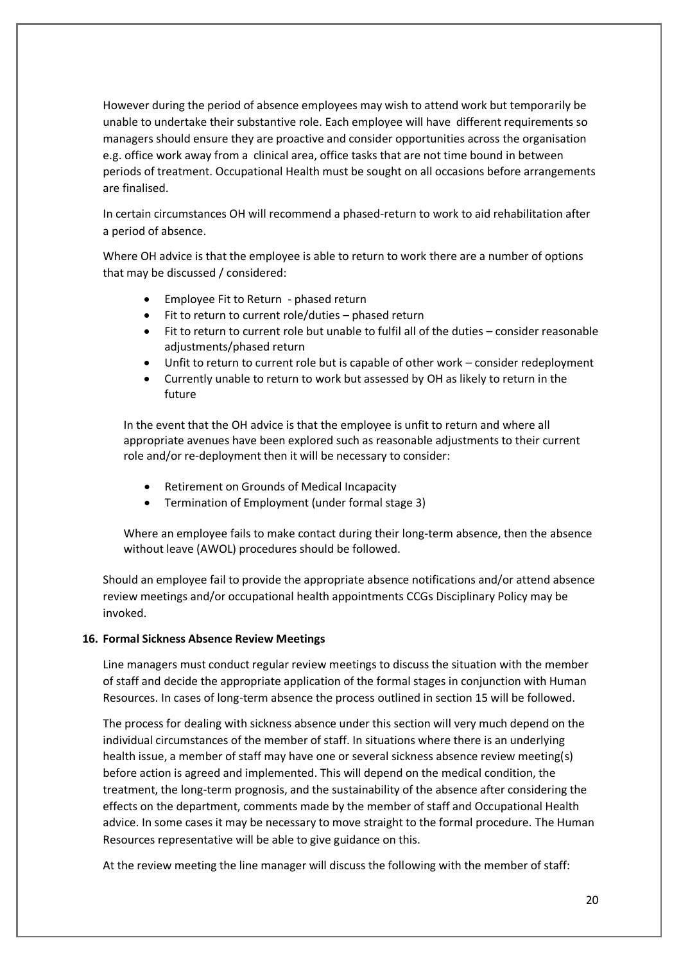However during the period of absence employees may wish to attend work but temporarily be unable to undertake their substantive role. Each employee will have different requirements so managers should ensure they are proactive and consider opportunities across the organisation e.g. office work away from a clinical area, office tasks that are not time bound in between periods of treatment. Occupational Health must be sought on all occasions before arrangements are finalised.

In certain circumstances OH will recommend a phased-return to work to aid rehabilitation after a period of absence.

Where OH advice is that the employee is able to return to work there are a number of options that may be discussed / considered:

- Employee Fit to Return phased return
- Fit to return to current role/duties phased return
- Fit to return to current role but unable to fulfil all of the duties consider reasonable adjustments/phased return
- Unfit to return to current role but is capable of other work consider redeployment
- Currently unable to return to work but assessed by OH as likely to return in the future

In the event that the OH advice is that the employee is unfit to return and where all appropriate avenues have been explored such as reasonable adjustments to their current role and/or re-deployment then it will be necessary to consider:

- Retirement on Grounds of Medical Incapacity
- Termination of Employment (under formal stage 3)

Where an employee fails to make contact during their long-term absence, then the absence without leave (AWOL) procedures should be followed.

Should an employee fail to provide the appropriate absence notifications and/or attend absence review meetings and/or occupational health appointments CCGs Disciplinary Policy may be invoked.

# <span id="page-19-0"></span>**16. Formal Sickness Absence Review Meetings**

Line managers must conduct regular review meetings to discuss the situation with the member of staff and decide the appropriate application of the formal stages in conjunction with Human Resources. In cases of long-term absence the process outlined in section 15 will be followed.

The process for dealing with sickness absence under this section will very much depend on the individual circumstances of the member of staff. In situations where there is an underlying health issue, a member of staff may have one or several sickness absence review meeting(s) before action is agreed and implemented. This will depend on the medical condition, the treatment, the long-term prognosis, and the sustainability of the absence after considering the effects on the department, comments made by the member of staff and Occupational Health advice. In some cases it may be necessary to move straight to the formal procedure. The Human Resources representative will be able to give guidance on this.

At the review meeting the line manager will discuss the following with the member of staff: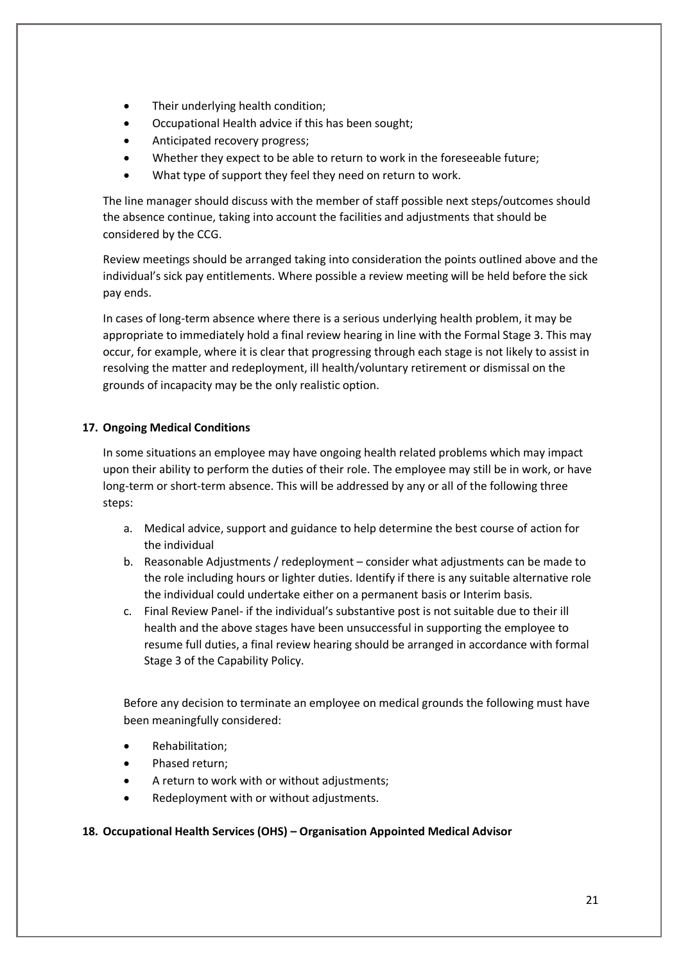- Their underlying health condition;
- Occupational Health advice if this has been sought;
- Anticipated recovery progress;
- Whether they expect to be able to return to work in the foreseeable future;
- What type of support they feel they need on return to work.

The line manager should discuss with the member of staff possible next steps/outcomes should the absence continue, taking into account the facilities and adjustments that should be considered by the CCG.

Review meetings should be arranged taking into consideration the points outlined above and the individual's sick pay entitlements. Where possible a review meeting will be held before the sick pay ends.

In cases of long-term absence where there is a serious underlying health problem, it may be appropriate to immediately hold a final review hearing in line with the Formal Stage 3. This may occur, for example, where it is clear that progressing through each stage is not likely to assist in resolving the matter and redeployment, ill health/voluntary retirement or dismissal on the grounds of incapacity may be the only realistic option.

# <span id="page-20-0"></span>**17. Ongoing Medical Conditions**

In some situations an employee may have ongoing health related problems which may impact upon their ability to perform the duties of their role. The employee may still be in work, or have long-term or short-term absence. This will be addressed by any or all of the following three steps:

- a. Medical advice, support and guidance to help determine the best course of action for the individual
- b. Reasonable Adjustments / redeployment consider what adjustments can be made to the role including hours or lighter duties. Identify if there is any suitable alternative role the individual could undertake either on a permanent basis or Interim basis.
- c. Final Review Panel- if the individual's substantive post is not suitable due to their ill health and the above stages have been unsuccessful in supporting the employee to resume full duties, a final review hearing should be arranged in accordance with formal Stage 3 of the Capability Policy.

Before any decision to terminate an employee on medical grounds the following must have been meaningfully considered:

- Rehabilitation;
- Phased return;
- A return to work with or without adjustments;
- Redeployment with or without adjustments.

# <span id="page-20-1"></span>**18. Occupational Health Services (OHS) – Organisation Appointed Medical Advisor**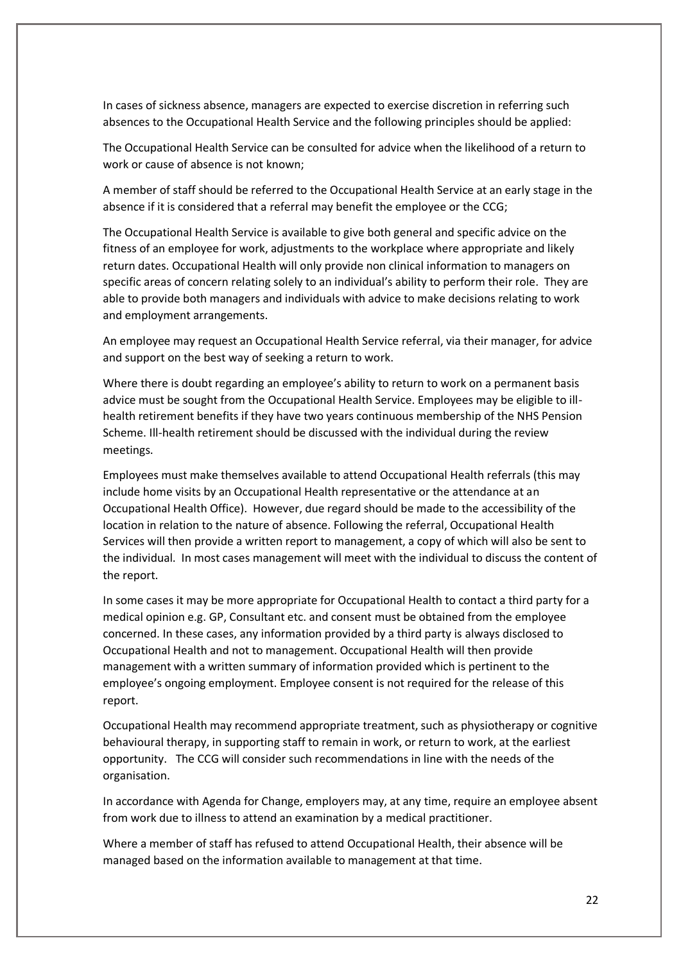In cases of sickness absence, managers are expected to exercise discretion in referring such absences to the Occupational Health Service and the following principles should be applied:

The Occupational Health Service can be consulted for advice when the likelihood of a return to work or cause of absence is not known;

A member of staff should be referred to the Occupational Health Service at an early stage in the absence if it is considered that a referral may benefit the employee or the CCG;

The Occupational Health Service is available to give both general and specific advice on the fitness of an employee for work, adjustments to the workplace where appropriate and likely return dates. Occupational Health will only provide non clinical information to managers on specific areas of concern relating solely to an individual's ability to perform their role. They are able to provide both managers and individuals with advice to make decisions relating to work and employment arrangements.

An employee may request an Occupational Health Service referral, via their manager, for advice and support on the best way of seeking a return to work.

Where there is doubt regarding an employee's ability to return to work on a permanent basis advice must be sought from the Occupational Health Service. Employees may be eligible to illhealth retirement benefits if they have two years continuous membership of the NHS Pension Scheme. Ill-health retirement should be discussed with the individual during the review meetings.

Employees must make themselves available to attend Occupational Health referrals (this may include home visits by an Occupational Health representative or the attendance at an Occupational Health Office). However, due regard should be made to the accessibility of the location in relation to the nature of absence. Following the referral, Occupational Health Services will then provide a written report to management, a copy of which will also be sent to the individual. In most cases management will meet with the individual to discuss the content of the report.

In some cases it may be more appropriate for Occupational Health to contact a third party for a medical opinion e.g. GP, Consultant etc. and consent must be obtained from the employee concerned. In these cases, any information provided by a third party is always disclosed to Occupational Health and not to management. Occupational Health will then provide management with a written summary of information provided which is pertinent to the employee's ongoing employment. Employee consent is not required for the release of this report.

Occupational Health may recommend appropriate treatment, such as physiotherapy or cognitive behavioural therapy, in supporting staff to remain in work, or return to work, at the earliest opportunity. The CCG will consider such recommendations in line with the needs of the organisation.

In accordance with Agenda for Change, employers may, at any time, require an employee absent from work due to illness to attend an examination by a medical practitioner.

Where a member of staff has refused to attend Occupational Health, their absence will be managed based on the information available to management at that time.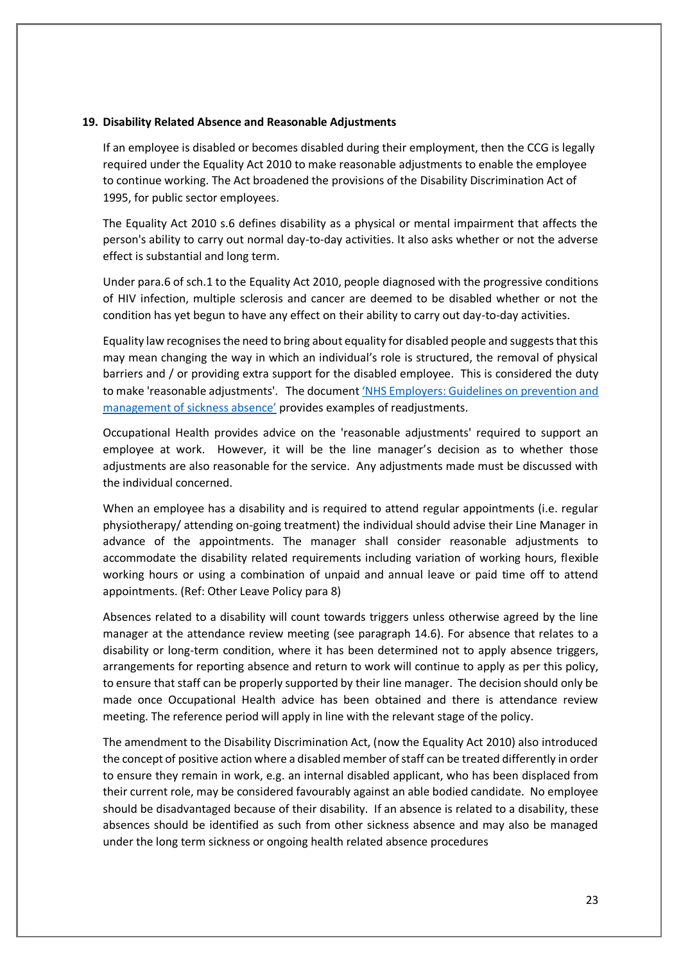#### <span id="page-22-0"></span>**19. Disability Related Absence and Reasonable Adjustments**

If an employee is disabled or becomes disabled during their employment, then the CCG is legally required under the Equality Act 2010 to make reasonable adjustments to enable the employee to continue working. The Act broadened the provisions of the Disability Discrimination Act of 1995, for public sector employees.

The Equality Act 2010 s.6 defines disability as a physical or mental impairment that affects the person's ability to carry out normal day-to-day activities. It also asks whether or not the adverse effect is substantial and long term.

Under para.6 of sch.1 to the Equality Act 2010, people diagnosed with the progressive conditions of HIV infection, multiple sclerosis and cancer are deemed to be disabled whether or not the condition has yet begun to have any effect on their ability to carry out day-to-day activities.

Equality law recognises the need to bring about equality for disabled people and suggests that this may mean changing the way in which an individual's role is structured, the removal of physical barriers and / or providing extra support for the disabled employee. This is considered the duty to make 'reasonable adjustments'. The document 'NHS [Employers: Guidelines on prevention and](https://www.nhsemployers.org/-/media/Employers/Documents/Retain-and-improve/HSWPG-Guidelines-on-prevention-and-management-of-sickness-absence.pdf)  [management of sickness absence'](https://www.nhsemployers.org/-/media/Employers/Documents/Retain-and-improve/HSWPG-Guidelines-on-prevention-and-management-of-sickness-absence.pdf) provides examples of readjustments.

Occupational Health provides advice on the 'reasonable adjustments' required to support an employee at work. However, it will be the line manager's decision as to whether those adjustments are also reasonable for the service. Any adjustments made must be discussed with the individual concerned.

When an employee has a disability and is required to attend regular appointments (i.e. regular physiotherapy/ attending on-going treatment) the individual should advise their Line Manager in advance of the appointments. The manager shall consider reasonable adjustments to accommodate the disability related requirements including variation of working hours, flexible working hours or using a combination of unpaid and annual leave or paid time off to attend appointments. (Ref: Other Leave Policy para 8)

Absences related to a disability will count towards triggers unless otherwise agreed by the line manager at the attendance review meeting (see paragraph 14.6). For absence that relates to a disability or long-term condition, where it has been determined not to apply absence triggers, arrangements for reporting absence and return to work will continue to apply as per this policy, to ensure that staff can be properly supported by their line manager. The decision should only be made once Occupational Health advice has been obtained and there is attendance review meeting. The reference period will apply in line with the relevant stage of the policy.

The amendment to the Disability Discrimination Act, (now the Equality Act 2010) also introduced the concept of positive action where a disabled member of staff can be treated differently in order to ensure they remain in work, e.g. an internal disabled applicant, who has been displaced from their current role, may be considered favourably against an able bodied candidate. No employee should be disadvantaged because of their disability. If an absence is related to a disability, these absences should be identified as such from other sickness absence and may also be managed under the long term sickness or ongoing health related absence procedures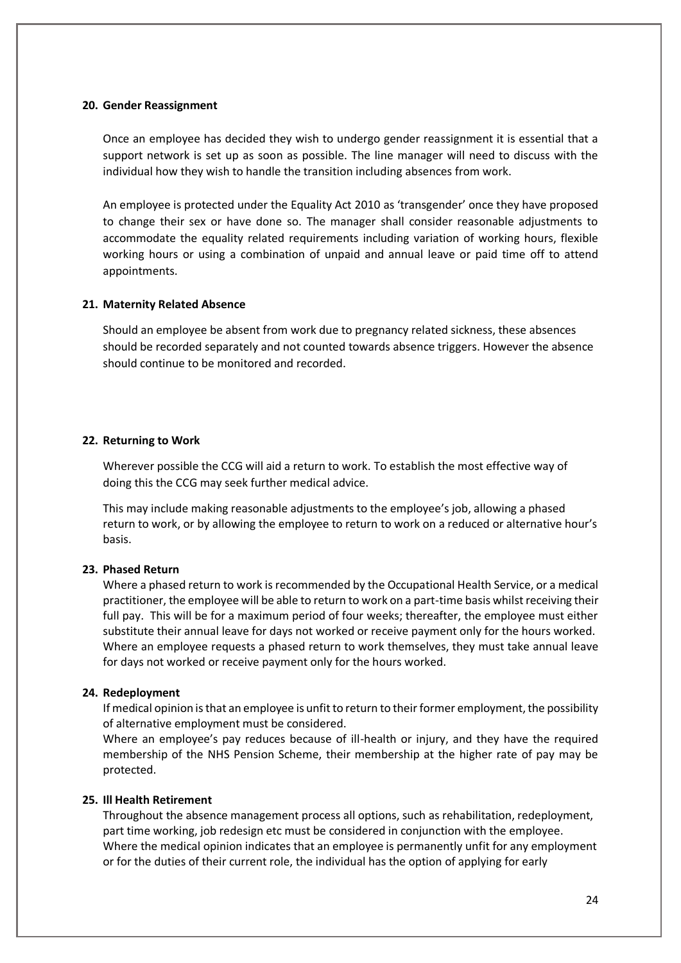#### <span id="page-23-0"></span>**20. Gender Reassignment**

Once an employee has decided they wish to undergo gender reassignment it is essential that a support network is set up as soon as possible. The line manager will need to discuss with the individual how they wish to handle the transition including absences from work.

An employee is protected under the Equality Act 2010 as 'transgender' once they have proposed to change their sex or have done so. The manager shall consider reasonable adjustments to accommodate the equality related requirements including variation of working hours, flexible working hours or using a combination of unpaid and annual leave or paid time off to attend appointments.

#### <span id="page-23-1"></span>**21. Maternity Related Absence**

Should an employee be absent from work due to pregnancy related sickness, these absences should be recorded separately and not counted towards absence triggers. However the absence should continue to be monitored and recorded.

#### <span id="page-23-2"></span>**22. Returning to Work**

Wherever possible the CCG will aid a return to work. To establish the most effective way of doing this the CCG may seek further medical advice.

This may include making reasonable adjustments to the employee's job, allowing a phased return to work, or by allowing the employee to return to work on a reduced or alternative hour's basis.

#### <span id="page-23-3"></span>**23. Phased Return**

Where a phased return to work is recommended by the Occupational Health Service, or a medical practitioner, the employee will be able to return to work on a part-time basis whilst receiving their full pay. This will be for a maximum period of four weeks; thereafter, the employee must either substitute their annual leave for days not worked or receive payment only for the hours worked. Where an employee requests a phased return to work themselves, they must take annual leave for days not worked or receive payment only for the hours worked.

#### <span id="page-23-4"></span>**24. Redeployment**

If medical opinion is that an employee is unfit to return to their former employment, the possibility of alternative employment must be considered.

Where an employee's pay reduces because of ill-health or injury, and they have the required membership of the NHS Pension Scheme, their membership at the higher rate of pay may be protected.

#### <span id="page-23-5"></span>**25. Ill Health Retirement**

Throughout the absence management process all options, such as rehabilitation, redeployment, part time working, job redesign etc must be considered in conjunction with the employee. Where the medical opinion indicates that an employee is permanently unfit for any employment or for the duties of their current role, the individual has the option of applying for early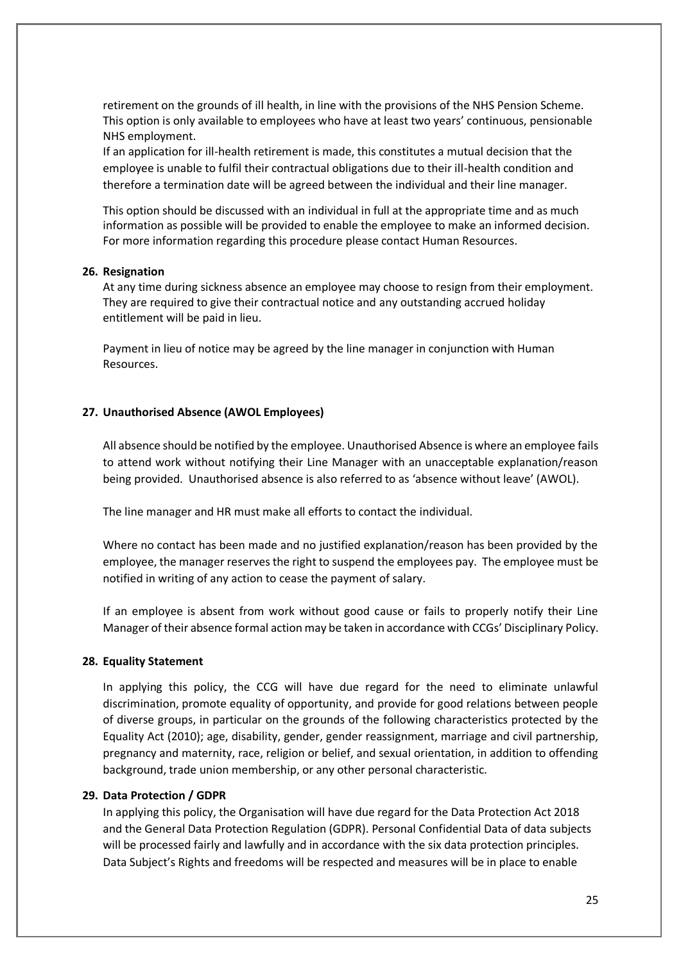retirement on the grounds of ill health, in line with the provisions of the NHS Pension Scheme. This option is only available to employees who have at least two years' continuous, pensionable NHS employment.

If an application for ill-health retirement is made, this constitutes a mutual decision that the employee is unable to fulfil their contractual obligations due to their ill-health condition and therefore a termination date will be agreed between the individual and their line manager.

This option should be discussed with an individual in full at the appropriate time and as much information as possible will be provided to enable the employee to make an informed decision. For more information regarding this procedure please contact Human Resources.

#### <span id="page-24-0"></span>**26. Resignation**

At any time during sickness absence an employee may choose to resign from their employment. They are required to give their contractual notice and any outstanding accrued holiday entitlement will be paid in lieu.

Payment in lieu of notice may be agreed by the line manager in conjunction with Human Resources.

#### <span id="page-24-1"></span>**27. Unauthorised Absence (AWOL Employees)**

All absence should be notified by the employee. Unauthorised Absence is where an employee fails to attend work without notifying their Line Manager with an unacceptable explanation/reason being provided. Unauthorised absence is also referred to as 'absence without leave' (AWOL).

The line manager and HR must make all efforts to contact the individual.

Where no contact has been made and no justified explanation/reason has been provided by the employee, the manager reserves the right to suspend the employees pay. The employee must be notified in writing of any action to cease the payment of salary.

If an employee is absent from work without good cause or fails to properly notify their Line Manager of their absence formal action may be taken in accordance with CCGs' Disciplinary Policy.

#### <span id="page-24-2"></span>**28. Equality Statement**

In applying this policy, the CCG will have due regard for the need to eliminate unlawful discrimination, promote equality of opportunity, and provide for good relations between people of diverse groups, in particular on the grounds of the following characteristics protected by the Equality Act (2010); age, disability, gender, gender reassignment, marriage and civil partnership, pregnancy and maternity, race, religion or belief, and sexual orientation, in addition to offending background, trade union membership, or any other personal characteristic.

#### <span id="page-24-3"></span>**29. Data Protection / GDPR**

In applying this policy, the Organisation will have due regard for the Data Protection Act 2018 and the General Data Protection Regulation (GDPR). Personal Confidential Data of data subjects will be processed fairly and lawfully and in accordance with the six data protection principles. Data Subject's Rights and freedoms will be respected and measures will be in place to enable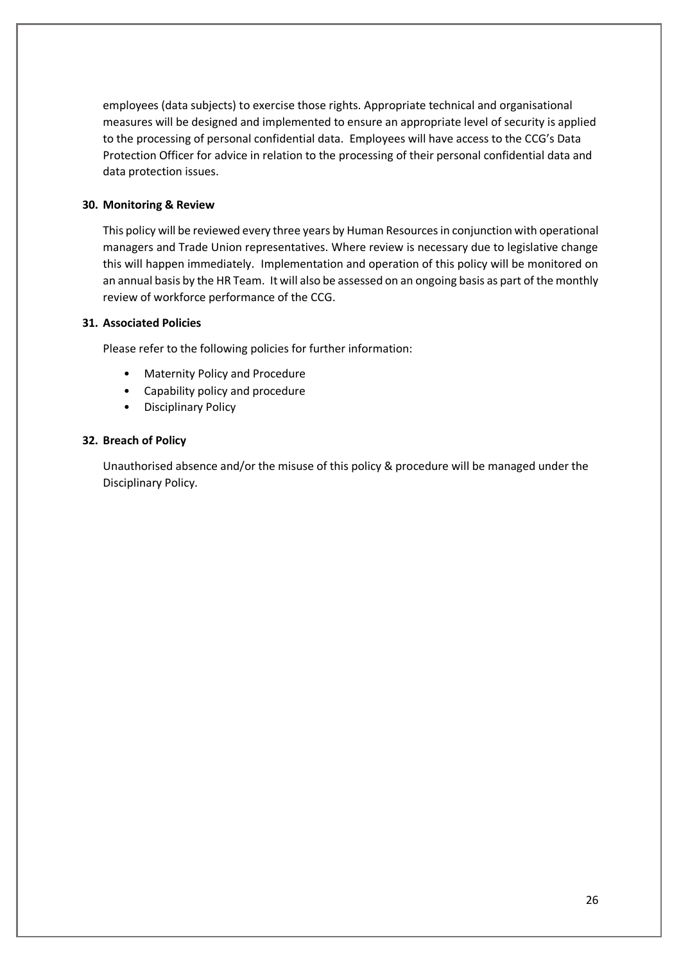employees (data subjects) to exercise those rights. Appropriate technical and organisational measures will be designed and implemented to ensure an appropriate level of security is applied to the processing of personal confidential data. Employees will have access to the CCG's Data Protection Officer for advice in relation to the processing of their personal confidential data and data protection issues.

# <span id="page-25-0"></span>**30. Monitoring & Review**

This policy will be reviewed every three years by Human Resources in conjunction with operational managers and Trade Union representatives. Where review is necessary due to legislative change this will happen immediately. Implementation and operation of this policy will be monitored on an annual basis by the HR Team. It will also be assessed on an ongoing basis as part of the monthly review of workforce performance of the CCG.

# <span id="page-25-1"></span>**31. Associated Policies**

Please refer to the following policies for further information:

- Maternity Policy and Procedure
- Capability policy and procedure
- Disciplinary Policy

# <span id="page-25-2"></span>**32. Breach of Policy**

Unauthorised absence and/or the misuse of this policy & procedure will be managed under the Disciplinary Policy.